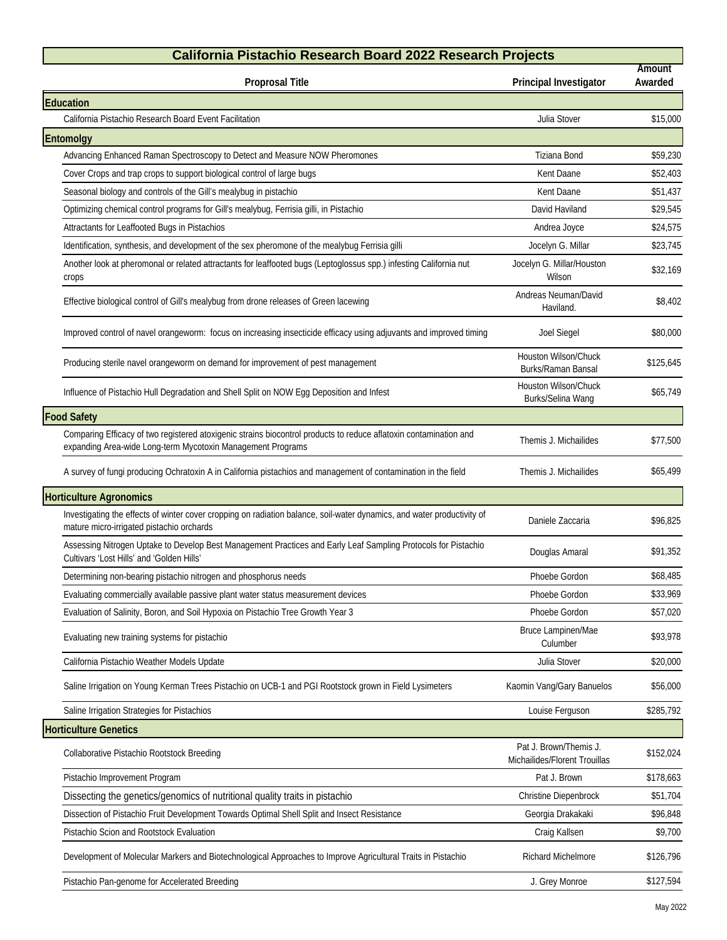## **California Pistachio Research Board 2022 Research Projects**

| <b>California Pistachio Research Board 2022 Research Projects</b>                                                                                                                |                                                         |                   |  |
|----------------------------------------------------------------------------------------------------------------------------------------------------------------------------------|---------------------------------------------------------|-------------------|--|
| <b>Proprosal Title</b>                                                                                                                                                           | Principal Investigator                                  | Amount<br>Awarded |  |
| Education                                                                                                                                                                        |                                                         |                   |  |
| California Pistachio Research Board Event Facilitation                                                                                                                           | Julia Stover                                            | \$15,000          |  |
| Entomolgy                                                                                                                                                                        |                                                         |                   |  |
| Advancing Enhanced Raman Spectroscopy to Detect and Measure NOW Pheromones                                                                                                       | Tiziana Bond                                            | \$59,230          |  |
| Cover Crops and trap crops to support biological control of large bugs                                                                                                           | Kent Daane                                              | \$52,403          |  |
| Seasonal biology and controls of the Gill's mealybug in pistachio                                                                                                                | Kent Daane                                              | \$51,437          |  |
| Optimizing chemical control programs for Gill's mealybug, Ferrisia gilli, in Pistachio                                                                                           | David Haviland                                          | \$29,545          |  |
| Attractants for Leaffooted Bugs in Pistachios                                                                                                                                    | Andrea Joyce                                            | \$24,575          |  |
| Identification, synthesis, and development of the sex pheromone of the mealybug Ferrisia gilli                                                                                   | Jocelyn G. Millar                                       | \$23,745          |  |
| Another look at pheromonal or related attractants for leaffooted bugs (Leptoglossus spp.) infesting California nut<br>crops                                                      | Jocelyn G. Millar/Houston<br>Wilson                     | \$32,169          |  |
| Effective biological control of Gill's mealybug from drone releases of Green lacewing                                                                                            | Andreas Neuman/David<br>Haviland.                       | \$8,402           |  |
| Improved control of navel orangeworm: focus on increasing insecticide efficacy using adjuvants and improved timing                                                               | Joel Siegel                                             | \$80,000          |  |
| Producing sterile navel orangeworm on demand for improvement of pest management                                                                                                  | <b>Houston Wilson/Chuck</b><br>Burks/Raman Bansal       | \$125,645         |  |
| Influence of Pistachio Hull Degradation and Shell Split on NOW Egg Deposition and Infest                                                                                         | <b>Houston Wilson/Chuck</b><br>Burks/Selina Wang        | \$65,749          |  |
| <b>Food Safety</b>                                                                                                                                                               |                                                         |                   |  |
| Comparing Efficacy of two registered atoxigenic strains biocontrol products to reduce aflatoxin contamination and<br>expanding Area-wide Long-term Mycotoxin Management Programs | Themis J. Michailides                                   | \$77,500          |  |
| A survey of fungi producing Ochratoxin A in California pistachios and management of contamination in the field                                                                   | Themis J. Michailides                                   | \$65,499          |  |
| <b>Horticulture Agronomics</b>                                                                                                                                                   |                                                         |                   |  |
| Investigating the effects of winter cover cropping on radiation balance, soil-water dynamics, and water productivity of<br>mature micro-irrigated pistachio orchards             | Daniele Zaccaria                                        | \$96,825          |  |
| Assessing Nitrogen Uptake to Develop Best Management Practices and Early Leaf Sampling Protocols for Pistachio<br>Cultivars 'Lost Hills' and 'Golden Hills'                      | Douglas Amaral                                          | \$91,352          |  |
| Determining non-bearing pistachio nitrogen and phosphorus needs                                                                                                                  | Phoebe Gordon                                           | \$68,485          |  |
| Evaluating commercially available passive plant water status measurement devices                                                                                                 | Phoebe Gordon                                           | \$33,969          |  |
| Evaluation of Salinity, Boron, and Soil Hypoxia on Pistachio Tree Growth Year 3                                                                                                  | Phoebe Gordon                                           | \$57,020          |  |
| Evaluating new training systems for pistachio                                                                                                                                    | Bruce Lampinen/Mae<br>Culumber                          | \$93,978          |  |
| California Pistachio Weather Models Update                                                                                                                                       | Julia Stover                                            | \$20,000          |  |
| Saline Irrigation on Young Kerman Trees Pistachio on UCB-1 and PGI Rootstock grown in Field Lysimeters                                                                           | Kaomin Vang/Gary Banuelos                               | \$56,000          |  |
| Saline Irrigation Strategies for Pistachios                                                                                                                                      | Louise Ferguson                                         | \$285,792         |  |
| <b>Horticulture Genetics</b>                                                                                                                                                     |                                                         |                   |  |
| Collaborative Pistachio Rootstock Breeding                                                                                                                                       | Pat J. Brown/Themis J.<br>Michailides/Florent Trouillas | \$152,024         |  |
| Pistachio Improvement Program                                                                                                                                                    | Pat J. Brown                                            | \$178,663         |  |
| Dissecting the genetics/genomics of nutritional quality traits in pistachio                                                                                                      | Christine Diepenbrock                                   | \$51,704          |  |
| Dissection of Pistachio Fruit Development Towards Optimal Shell Split and Insect Resistance                                                                                      | Georgia Drakakaki                                       | \$96,848          |  |
| Pistachio Scion and Rootstock Evaluation                                                                                                                                         | Craig Kallsen                                           | \$9,700           |  |
| Development of Molecular Markers and Biotechnological Approaches to Improve Agricultural Traits in Pistachio                                                                     | Richard Michelmore                                      | \$126,796         |  |
| Pistachio Pan-genome for Accelerated Breeding                                                                                                                                    | J. Grey Monroe                                          | \$127,594         |  |